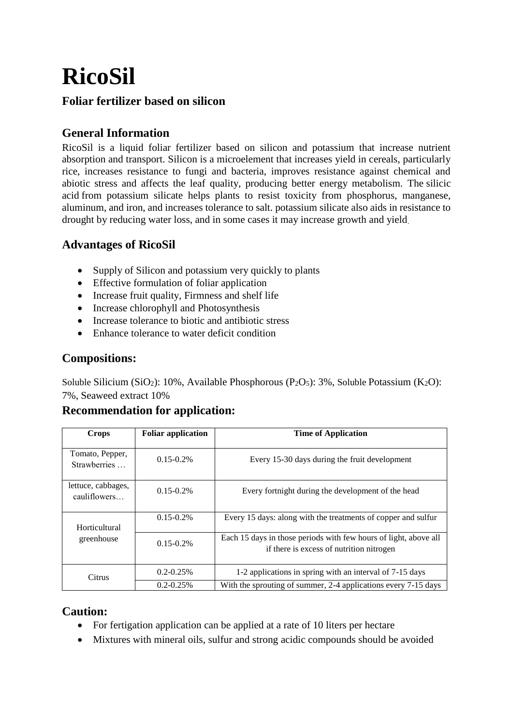# **RicoSil**

#### **Foliar fertilizer based on silicon**

# **General Information**

RicoSil is a liquid foliar fertilizer based on silicon and potassium that increase nutrient absorption and transport. Silicon is a microelement that increases yield in cereals, particularly rice, increases resistance to fungi and bacteria, improves resistance against chemical and abiotic stress and affects the leaf quality, producing better energy metabolism. The silicic acid from potassium silicate helps plants to resist toxicity from phosphorus, manganese, aluminum, and iron, and increases tolerance to salt. potassium silicate also aids in resistance to drought by reducing water loss, and in some cases it may increase growth and yield.

## **Advantages of RicoSil**

- Supply of Silicon and potassium very quickly to plants
- Effective formulation of foliar application
- Increase fruit quality, Firmness and shelf life
- Increase chlorophyll and Photosynthesis
- Increase tolerance to biotic and antibiotic stress
- Enhance tolerance to water deficit condition

## **Compositions:**

Soluble Silicium (SiO<sub>2</sub>): 10%, Available Phosphorous (P<sub>2</sub>O<sub>5</sub>): 3%, Soluble Potassium (K<sub>2</sub>O): 7%, Seaweed extract 10%

#### **Recommendation for application:**

| Crops                              | <b>Foliar application</b> | <b>Time of Application</b>                                                                                   |
|------------------------------------|---------------------------|--------------------------------------------------------------------------------------------------------------|
| Tomato, Pepper,<br>Strawberries    | $0.15 - 0.2\%$            | Every 15-30 days during the fruit development                                                                |
| lettuce, cabbages,<br>cauliflowers | $0.15 - 0.2\%$            | Every fortnight during the development of the head                                                           |
| Horticultural<br>greenhouse        | $0.15 - 0.2\%$            | Every 15 days: along with the treatments of copper and sulfur                                                |
|                                    | $0.15 - 0.2\%$            | Each 15 days in those periods with few hours of light, above all<br>if there is excess of nutrition nitrogen |
| Citrus                             | $0.2 - 0.25\%$            | 1-2 applications in spring with an interval of 7-15 days                                                     |
|                                    | $0.2 - 0.25\%$            | With the sprouting of summer, 2-4 applications every 7-15 days                                               |

#### **Caution:**

- For fertigation application can be applied at a rate of 10 liters per hectare
- Mixtures with mineral oils, sulfur and strong acidic compounds should be avoided